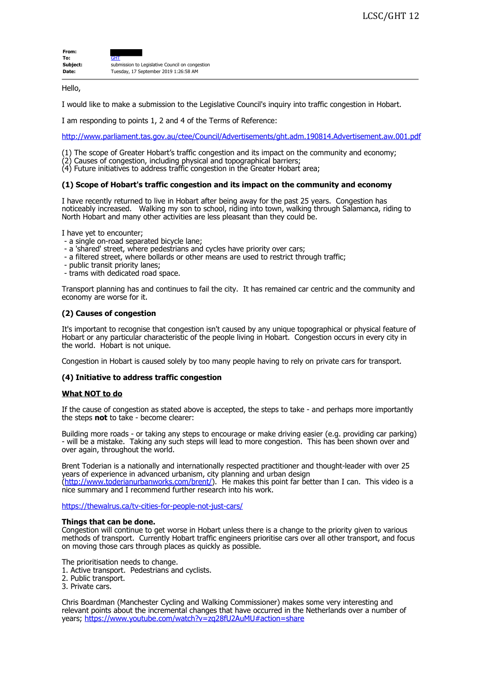| From:    |                                                 |
|----------|-------------------------------------------------|
| To:      | GHT                                             |
| Subject: | submission to Legislative Council on congestion |
| Date:    | Tuesday, 17 September 2019 1:26:58 AM           |

Hello,

I would like to make a submission to the Legislative Council's inquiry into traffic congestion in Hobart.

I am responding to points 1, 2 and 4 of the Terms of Reference:

<http://www.parliament.tas.gov.au/ctee/Council/Advertisements/ght.adm.190814.Advertisement.aw.001.pdf>

- (1) The scope of Greater Hobart's traffic congestion and its impact on the community and economy;
- (2) Causes of congestion, including physical and topographical barriers;
- (4) Future initiatives to address traffic congestion in the Greater Hobart area;

### **(1) Scope of Hobart's traffic congestion and its impact on the community and economy**

I have recently returned to live in Hobart after being away for the past 25 years. Congestion has noticeably increased. Walking my son to school, riding into town, walking through Salamanca, riding to North Hobart and many other activities are less pleasant than they could be.

I have yet to encounter;

- a single on-road separated bicycle lane;
- a 'shared' street, where pedestrians and cycles have priority over cars;
- a filtered street, where bollards or other means are used to restrict through traffic;
- public transit priority lanes;
- trams with dedicated road space.

Transport planning has and continues to fail the city. It has remained car centric and the community and economy are worse for it.

# **(2) Causes of congestion**

It's important to recognise that congestion isn't caused by any unique topographical or physical feature of Hobart or any particular characteristic of the people living in Hobart. Congestion occurs in every city in the world. Hobart is not unique.

Congestion in Hobart is caused solely by too many people having to rely on private cars for transport.

# **(4) Initiative to address traffic congestion**

# **What NOT to do**

If the cause of congestion as stated above is accepted, the steps to take - and perhaps more importantly the steps **not** to take - become clearer:

Building more roads - or taking any steps to encourage or make driving easier (e.g. providing car parking) - will be a mistake. Taking any such steps will lead to more congestion. This has been shown over and over again, throughout the world.

Brent Toderian is a nationally and internationally respected practitioner and thought-leader with over 25 years of experience in advanced urbanism, city planning and urban design [\(http://www.toderianurbanworks.com/brent/\)](http://www.toderianurbanworks.com/brent/). He makes this point far better than I can. This video is a nice summary and I recommend further research into his work.

<https://thewalrus.ca/tv-cities-for-people-not-just-cars/>

### **Things that can be done.**

Congestion will continue to get worse in Hobart unless there is a change to the priority given to various methods of transport. Currently Hobart traffic engineers prioritise cars over all other transport, and focus on moving those cars through places as quickly as possible.

The prioritisation needs to change.

1. Active transport. Pedestrians and cyclists.

2. Public transport.

3. Private cars.

Chris Boardman (Manchester Cycling and Walking Commissioner) makes some very interesting and relevant points about the incremental changes that have occurred in the Netherlands over a number of years; <https://www.youtube.com/watch?v=zq28fU2AuMU#action=share>